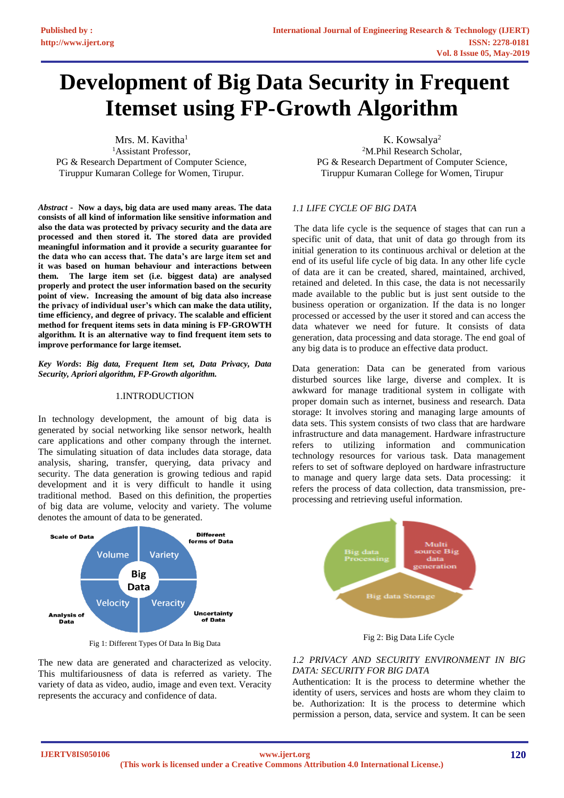# **Development of Big Data Security in Frequent Itemset using FP-Growth Algorithm**

Mrs. M. Kavitha<sup>1</sup> <sup>1</sup>Assistant Professor, PG & Research Department of Computer Science, Tiruppur Kumaran College for Women, Tirupur.

*Abstract* **- Now a days, big data are used many areas. The data consists of all kind of information like sensitive information and also the data was protected by privacy security and the data are processed and then stored it. The stored data are provided meaningful information and it provide a security guarantee for the data who can access that. The data's are large item set and it was based on human behaviour and interactions between them. The large item set (i.e. biggest data) are analysed properly and protect the user information based on the security point of view. Increasing the amount of big data also increase the privacy of individual user's which can make the data utility, time efficiency, and degree of privacy. The scalable and efficient method for frequent items sets in data mining is FP-GROWTH algorithm. It is an alternative way to find frequent item sets to improve performance for large itemset.**

*Key Words***:** *Big data, Frequent Item set, Data Privacy, Data Security, Apriori algorithm, FP-Growth algorithm.*

#### 1.INTRODUCTION

In technology development, the amount of big data is generated by social networking like sensor network, health care applications and other company through the internet. The simulating situation of data includes data storage, data analysis, sharing, transfer, querying, data privacy and security. The data generation is growing tedious and rapid development and it is very difficult to handle it using traditional method. Based on this definition, the properties of big data are volume, velocity and variety. The volume denotes the amount of data to be generated.



Fig 1: Different Types Of Data In Big Data

The new data are generated and characterized as velocity. This multifariousness of data is referred as variety. The variety of data as video, audio, image and even text. Veracity represents the accuracy and confidence of data.

K. Kowsalya<sup>2</sup> <sup>2</sup>M.Phil Research Scholar, PG & Research Department of Computer Science, Tiruppur Kumaran College for Women, Tirupur

# *1.1 LIFE CYCLE OF BIG DATA*

The data life cycle is the sequence of stages that can run a specific unit of data, that unit of data go through from its initial generation to its continuous archival or deletion at the end of its useful life cycle of big data. In any other life cycle of data are it can be created, shared, maintained, archived, retained and deleted. In this case, the data is not necessarily made available to the public but is just sent outside to the business operation or organization. If the data is no longer processed or accessed by the user it stored and can access the data whatever we need for future. It consists of data generation, data processing and data storage. The end goal of any big data is to produce an effective data product.

Data generation: Data can be generated from various disturbed sources like large, diverse and complex. It is awkward for manage traditional system in colligate with proper domain such as internet, business and research. Data storage: It involves storing and managing large amounts of data sets. This system consists of two class that are hardware infrastructure and data management. Hardware infrastructure refers to utilizing information and communication technology resources for various task. Data management refers to set of software deployed on hardware infrastructure to manage and query large data sets. Data processing: it refers the process of data collection, data transmission, preprocessing and retrieving useful information.



Fig 2: Big Data Life Cycle

## *1.2 PRIVACY AND SECURITY ENVIRONMENT IN BIG DATA: SECURITY FOR BIG DATA*

Authentication: It is the process to determine whether the identity of users, services and hosts are whom they claim to be. Authorization: It is the process to determine which permission a person, data, service and system. It can be seen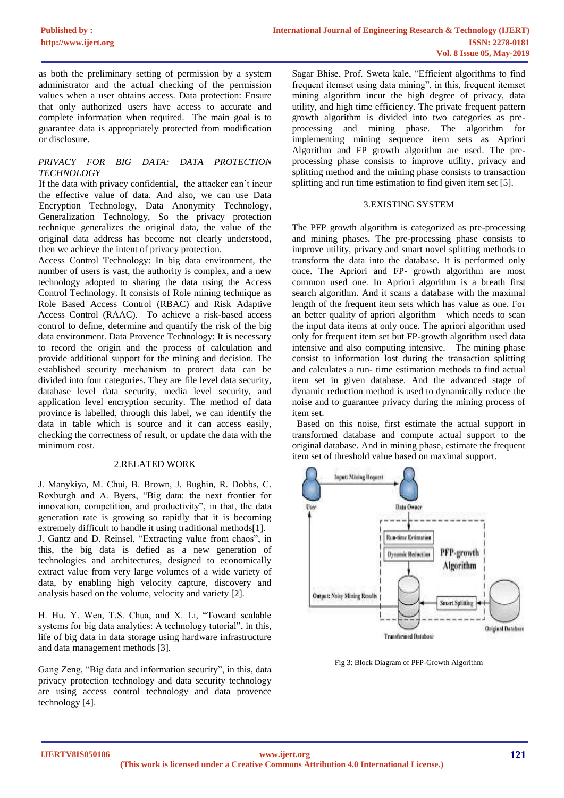as both the preliminary setting of permission by a system administrator and the actual checking of the permission values when a user obtains access. Data protection: Ensure that only authorized users have access to accurate and complete information when required. The main goal is to guarantee data is appropriately protected from modification or disclosure.

## *PRIVACY FOR BIG DATA: DATA PROTECTION TECHNOLOGY*

If the data with privacy confidential, the attacker can't incur the effective value of data. And also, we can use Data Encryption Technology, Data Anonymity Technology, Generalization Technology, So the privacy protection technique generalizes the original data, the value of the original data address has become not clearly understood, then we achieve the intent of privacy protection.

Access Control Technology: In big data environment, the number of users is vast, the authority is complex, and a new technology adopted to sharing the data using the Access Control Technology. It consists of Role mining technique as Role Based Access Control (RBAC) and Risk Adaptive Access Control (RAAC). To achieve a risk-based access control to define, determine and quantify the risk of the big data environment. Data Provence Technology: It is necessary to record the origin and the process of calculation and provide additional support for the mining and decision. The established security mechanism to protect data can be divided into four categories. They are file level data security, database level data security, media level security, and application level encryption security. The method of data province is labelled, through this label, we can identify the data in table which is source and it can access easily, checking the correctness of result, or update the data with the minimum cost.

## 2.RELATED WORK

J. Manykiya, M. Chui, B. Brown, J. Bughin, R. Dobbs, C. Roxburgh and A. Byers, "Big data: the next frontier for innovation, competition, and productivity", in that, the data generation rate is growing so rapidly that it is becoming extremely difficult to handle it using traditional methods[1]. J. Gantz and D. Reinsel, "Extracting value from chaos", in this, the big data is defied as a new generation of technologies and architectures, designed to economically extract value from very large volumes of a wide variety of data, by enabling high velocity capture, discovery and analysis based on the volume, velocity and variety [2].

H. Hu. Y. Wen, T.S. Chua, and X. Li, "Toward scalable systems for big data analytics: A technology tutorial", in this, life of big data in data storage using hardware infrastructure and data management methods [3].

Gang Zeng, "Big data and information security", in this, data privacy protection technology and data security technology are using access control technology and data provence technology [4].

Sagar Bhise, Prof. Sweta kale, "Efficient algorithms to find frequent itemset using data mining", in this, frequent itemset mining algorithm incur the high degree of privacy, data utility, and high time efficiency. The private frequent pattern growth algorithm is divided into two categories as preprocessing and mining phase. The algorithm for implementing mining sequence item sets as Apriori Algorithm and FP growth algorithm are used. The preprocessing phase consists to improve utility, privacy and splitting method and the mining phase consists to transaction splitting and run time estimation to find given item set [5].

## 3.EXISTING SYSTEM

The PFP growth algorithm is categorized as pre-processing and mining phases. The pre-processing phase consists to improve utility, privacy and smart novel splitting methods to transform the data into the database. It is performed only once. The Apriori and FP- growth algorithm are most common used one. In Apriori algorithm is a breath first search algorithm. And it scans a database with the maximal length of the frequent item sets which has value as one. For an better quality of apriori algorithm which needs to scan the input data items at only once. The apriori algorithm used only for frequent item set but FP-growth algorithm used data intensive and also computing intensive. The mining phase consist to information lost during the transaction splitting and calculates a run- time estimation methods to find actual item set in given database. And the advanced stage of dynamic reduction method is used to dynamically reduce the noise and to guarantee privacy during the mining process of item set.

 Based on this noise, first estimate the actual support in transformed database and compute actual support to the original database. And in mining phase, estimate the frequent item set of threshold value based on maximal support.



Fig 3: Block Diagram of PFP-Growth Algorithm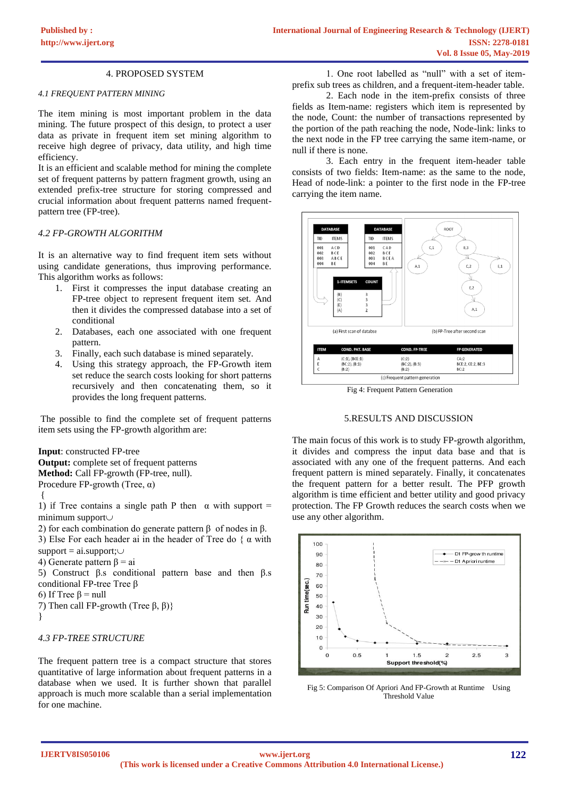## 4. PROPOSED SYSTEM

#### *4.1 FREQUENT PATTERN MINING*

The item mining is most important problem in the data mining. The future prospect of this design, to protect a user data as private in frequent item set mining algorithm to receive high degree of privacy, data utility, and high time efficiency.

It is an efficient and scalable method for mining the complete set of frequent patterns by pattern fragment growth, using an extended prefix-tree structure for storing compressed and crucial information about frequent patterns named frequentpattern tree (FP-tree).

## *4.2 FP-GROWTH ALGORITHM*

It is an alternative way to find frequent item sets without using candidate generations, thus improving performance. This algorithm works as follows:

- 1. First it compresses the input database creating an FP-tree object to represent frequent item set. And then it divides the compressed database into a set of conditional
- 2. Databases, each one associated with one frequent pattern.
- 3. Finally, each such database is mined separately.
- 4. Using this strategy approach, the FP-Growth item set reduce the search costs looking for short patterns recursively and then concatenating them, so it provides the long frequent patterns.

The possible to find the complete set of frequent patterns item sets using the FP-growth algorithm are:

**Input**: constructed FP-tree **Output:** complete set of frequent patterns **Method:** Call FP-growth (FP-tree, null). Procedure FP-growth (Tree,  $\alpha$ ) {

1) if Tree contains a single path P then  $\alpha$  with support = minimum support $\cup$ 

2) for each combination do generate pattern  $β$  of nodes in  $β$ . 3) Else For each header ai in the header of Tree do  $\{ \alpha \text{ with } \beta \}$  $support = ai.support; \cup$ 4) Generate pattern β = ai 5) Construct β.s conditional pattern base and then β.s conditional FP-tree Tree β

6) If Tree β = null

7) Then call FP-growth (Tree  $β$ ,  $β$ )}

```
}
```
# *4.3 FP-TREE STRUCTURE*

The frequent pattern tree is a compact structure that stores quantitative of large information about frequent patterns in a database when we used. It is further shown that parallel approach is much more scalable than a serial implementation for one machine.

1. One root labelled as "null" with a set of itemprefix sub trees as children, and a frequent-item-header table.

2. Each node in the item-prefix consists of three fields as Item-name: registers which item is represented by the node, Count: the number of transactions represented by the portion of the path reaching the node, Node-link: links to the next node in the FP tree carrying the same item-name, or null if there is none.

3. Each entry in the frequent item-header table consists of two fields: Item-name: as the same to the node, Head of node-link: a pointer to the first node in the FP-tree carrying the item name.



Fig 4: Frequent Pattern Generation

## 5.RESULTS AND DISCUSSION

The main focus of this work is to study FP-growth algorithm, it divides and compress the input data base and that is associated with any one of the frequent patterns. And each frequent pattern is mined separately. Finally, it concatenates the frequent pattern for a better result. The PFP growth algorithm is time efficient and better utility and good privacy protection. The FP Growth reduces the search costs when we use any other algorithm.



Fig 5: Comparison Of Apriori And FP-Growth at Runtime Using Threshold Value